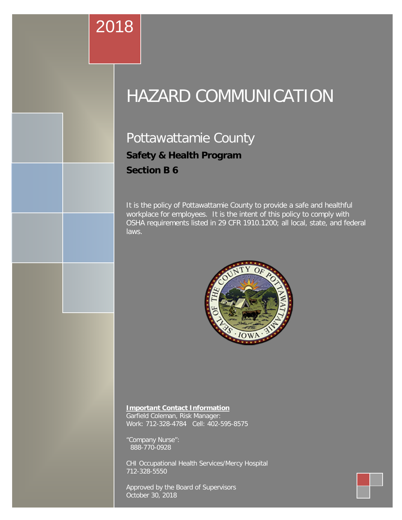# **Important Contact Information**

Work: 712-328-4784 Cell: 712-328-4784 Cell: 712-328-4784

Garfield Coleman, Risk Manager:

"Company Nurse":

Approved by the Board of Supervisors

# CHI Occupational Health Services/Mercy Hospital HAZARD COMMUNICATION

# Pottawattamie County **Safety & Health Program Section B 6**

It is the policy of Pottawattamie County to provide a safe and healthful workplace for employees. It is the intent of this policy to comply with OSHA requirements listed in 29 CFR 1910.1200; all local, state, and federal laws.



#### **Important Contact Information**

Garfield Coleman, Risk Manager: Work: 712-328-4784 Cell: 402-595-8575

"Company Nurse": 888-770-0928

CHI Occupational Health Services/Mercy Hospital 712-328-5550

Approved by the Board of Supervisors October 30, 2018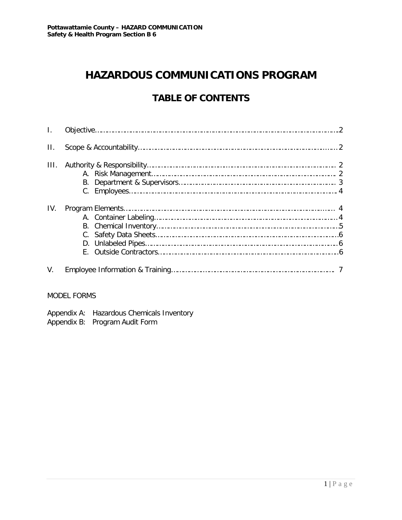# **HAZARDOUS COMMUNICATIONS PROGRAM**

# **TABLE OF CONTENTS**

| Ш.   |  |  |  |
|------|--|--|--|
| III. |  |  |  |
| IV.  |  |  |  |
| V.   |  |  |  |

#### MODEL FORMS

| Appendix A: Hazardous Chemicals Inventory |
|-------------------------------------------|
| Appendix B: Program Audit Form            |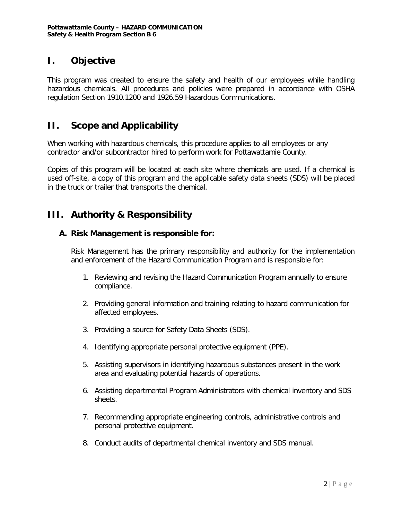## **I. Objective**

This program was created to ensure the safety and health of our employees while handling hazardous chemicals. All procedures and policies were prepared in accordance with OSHA regulation Section 1910.1200 and 1926.59 Hazardous Communications.

## **II. Scope and Applicability**

When working with hazardous chemicals, this procedure applies to all employees or any contractor and/or subcontractor hired to perform work for Pottawattamie County.

Copies of this program will be located at each site where chemicals are used. If a chemical is used off-site, a copy of this program and the applicable safety data sheets (SDS) will be placed in the truck or trailer that transports the chemical.

# **III. Authority & Responsibility**

#### **A. Risk Management is responsible for:**

Risk Management has the primary responsibility and authority for the implementation and enforcement of the Hazard Communication Program and is responsible for:

- 1. Reviewing and revising the Hazard Communication Program annually to ensure compliance.
- 2. Providing general information and training relating to hazard communication for affected employees.
- 3. Providing a source for Safety Data Sheets (SDS).
- 4. Identifying appropriate personal protective equipment (PPE).
- 5. Assisting supervisors in identifying hazardous substances present in the work area and evaluating potential hazards of operations.
- 6. Assisting departmental Program Administrators with chemical inventory and SDS sheets.
- 7. Recommending appropriate engineering controls, administrative controls and personal protective equipment.
- 8. Conduct audits of departmental chemical inventory and SDS manual.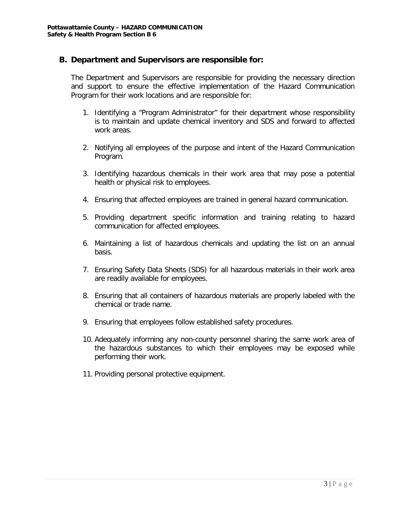#### **B. Department and Supervisors are responsible for:**

The Department and Supervisors are responsible for providing the necessary direction and support to ensure the effective implementation of the Hazard Communication Program for their work locations and are responsible for:

- 1. Identifying a "Program Administrator" for their department whose responsibility is to maintain and update chemical inventory and SDS and forward to affected work areas.
- 2. Notifying all employees of the purpose and intent of the Hazard Communication Program.
- 3. Identifying hazardous chemicals in their work area that may pose a potential health or physical risk to employees.
- 4. Ensuring that affected employees are trained in general hazard communication.
- 5. Providing department specific information and training relating to hazard communication for affected employees.
- 6. Maintaining a list of hazardous chemicals and updating the list on an annual basis.
- 7. Ensuring Safety Data Sheets (SDS) for all hazardous materials in their work area are readily available for employees.
- 8. Ensuring that all containers of hazardous materials are properly labeled with the chemical or trade name.
- 9. Ensuring that employees follow established safety procedures.
- 10. Adequately informing any non-county personnel sharing the same work area of the hazardous substances to which their employees may be exposed while performing their work.
- 11. Providing personal protective equipment.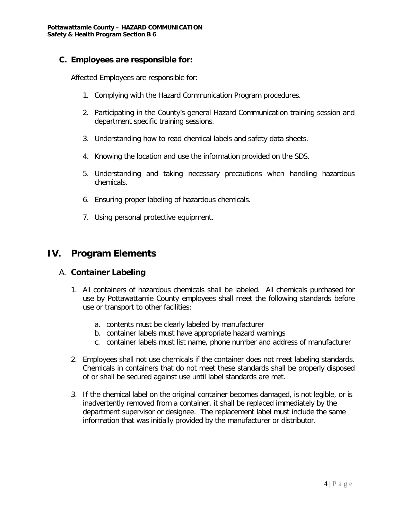#### **C. Employees are responsible for:**

Affected Employees are responsible for:

- 1. Complying with the Hazard Communication Program procedures.
- 2. Participating in the County's general Hazard Communication training session and department specific training sessions.
- 3. Understanding how to read chemical labels and safety data sheets.
- 4. Knowing the location and use the information provided on the SDS.
- 5. Understanding and taking necessary precautions when handling hazardous chemicals.
- 6. Ensuring proper labeling of hazardous chemicals.
- 7. Using personal protective equipment.

#### **IV. Program Elements**

#### A. **Container Labeling**

- 1. All containers of hazardous chemicals shall be labeled. All chemicals purchased for use by Pottawattamie County employees shall meet the following standards before use or transport to other facilities:
	- a. contents must be clearly labeled by manufacturer
	- b. container labels must have appropriate hazard warnings
	- c. container labels must list name, phone number and address of manufacturer
- 2. Employees shall not use chemicals if the container does not meet labeling standards. Chemicals in containers that do not meet these standards shall be properly disposed of or shall be secured against use until label standards are met.
- 3. If the chemical label on the original container becomes damaged, is not legible, or is inadvertently removed from a container, it shall be replaced immediately by the department supervisor or designee. The replacement label must include the same information that was initially provided by the manufacturer or distributor.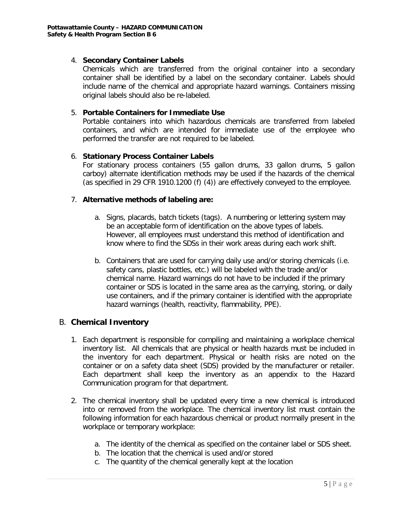#### 4. **Secondary Container Labels**

Chemicals which are transferred from the original container into a secondary container shall be identified by a label on the secondary container. Labels should include name of the chemical and appropriate hazard warnings. Containers missing original labels should also be re-labeled.

#### 5. **Portable Containers for Immediate Use**

Portable containers into which hazardous chemicals are transferred from labeled containers, and which are intended for immediate use of the employee who performed the transfer are not required to be labeled.

#### 6. **Stationary Process Container Labels**

For stationary process containers (55 gallon drums, 33 gallon drums, 5 gallon carboy) alternate identification methods may be used if the hazards of the chemical (as specified in 29 CFR 1910.1200 (f) (4)) are effectively conveyed to the employee.

#### 7. **Alternative methods of labeling are:**

- a. Signs, placards, batch tickets (tags). A numbering or lettering system may be an acceptable form of identification on the above types of labels. However, all employees must understand this method of identification and know where to find the SDSs in their work areas during each work shift.
- b. Containers that are used for carrying daily use and/or storing chemicals (i.e. safety cans, plastic bottles, etc.) will be labeled with the trade and/or chemical name. Hazard warnings do not have to be included if the primary container or SDS is located in the same area as the carrying, storing, or daily use containers, and if the primary container is identified with the appropriate hazard warnings (health, reactivity, flammability, PPE).

#### B. **Chemical Inventory**

- 1. Each department is responsible for compiling and maintaining a workplace chemical inventory list. All chemicals that are physical or health hazards must be included in the inventory for each department. Physical or health risks are noted on the container or on a safety data sheet (SDS) provided by the manufacturer or retailer. Each department shall keep the inventory as an appendix to the Hazard Communication program for that department.
- 2. The chemical inventory shall be updated every time a new chemical is introduced into or removed from the workplace. The chemical inventory list must contain the following information for each hazardous chemical or product normally present in the workplace or temporary workplace:
	- a. The identity of the chemical as specified on the container label or SDS sheet.
	- b. The location that the chemical is used and/or stored
	- c. The quantity of the chemical generally kept at the location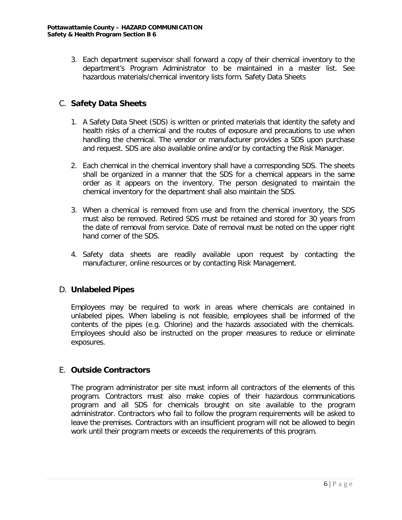3. Each department supervisor shall forward a copy of their chemical inventory to the department's Program Administrator to be maintained in a master list. See hazardous materials/chemical inventory lists form. Safety Data Sheets

#### C. **Safety Data Sheets**

- 1. A Safety Data Sheet (SDS) is written or printed materials that identity the safety and health risks of a chemical and the routes of exposure and precautions to use when handling the chemical. The vendor or manufacturer provides a SDS upon purchase and request. SDS are also available online and/or by contacting the Risk Manager.
- 2. Each chemical in the chemical inventory shall have a corresponding SDS. The sheets shall be organized in a manner that the SDS for a chemical appears in the same order as it appears on the inventory. The person designated to maintain the chemical inventory for the department shall also maintain the SDS.
- 3. When a chemical is removed from use and from the chemical inventory, the SDS must also be removed. Retired SDS must be retained and stored for 30 years from the date of removal from service. Date of removal must be noted on the upper right hand corner of the SDS.
- 4. Safety data sheets are readily available upon request by contacting the manufacturer, online resources or by contacting Risk Management.

#### D. **Unlabeled Pipes**

Employees may be required to work in areas where chemicals are contained in unlabeled pipes. When labeling is not feasible, employees shall be informed of the contents of the pipes (e.g. Chlorine) and the hazards associated with the chemicals. Employees should also be instructed on the proper measures to reduce or eliminate exposures.

#### E. **Outside Contractors**

The program administrator per site must inform all contractors of the elements of this program. Contractors must also make copies of their hazardous communications program and all SDS for chemicals brought on site available to the program administrator. Contractors who fail to follow the program requirements will be asked to leave the premises. Contractors with an insufficient program will not be allowed to begin work until their program meets or exceeds the requirements of this program.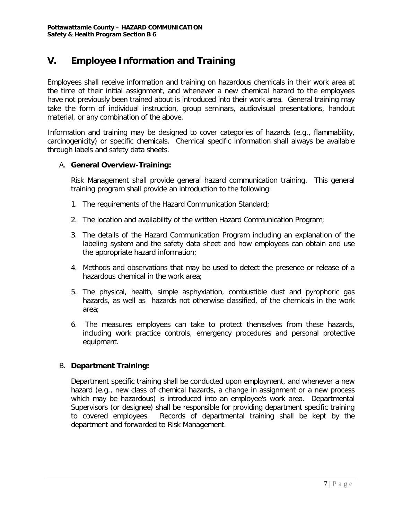# **V. Employee Information and Training**

Employees shall receive information and training on hazardous chemicals in their work area at the time of their initial assignment, and whenever a new chemical hazard to the employees have not previously been trained about is introduced into their work area. General training may take the form of individual instruction, group seminars, audiovisual presentations, handout material, or any combination of the above.

Information and training may be designed to cover categories of hazards (e.g., flammability, carcinogenicity) or specific chemicals. Chemical specific information shall always be available through labels and safety data sheets.

#### A. **General Overview-Training:**

Risk Management shall provide general hazard communication training. This general training program shall provide an introduction to the following:

- 1. The requirements of the Hazard Communication Standard;
- 2. The location and availability of the written Hazard Communication Program;
- 3. The details of the Hazard Communication Program including an explanation of the labeling system and the safety data sheet and how employees can obtain and use the appropriate hazard information;
- 4. Methods and observations that may be used to detect the presence or release of a hazardous chemical in the work area;
- 5. The physical, health, simple asphyxiation, combustible dust and pyrophoric gas hazards, as well as hazards not otherwise classified, of the chemicals in the work area;
- 6. The measures employees can take to protect themselves from these hazards, including work practice controls, emergency procedures and personal protective equipment.

#### B. **Department Training:**

Department specific training shall be conducted upon employment, and whenever a new hazard (e.g., new class of chemical hazards, a change in assignment or a new process which may be hazardous) is introduced into an employee's work area. Departmental Supervisors (or designee) shall be responsible for providing department specific training to covered employees. Records of departmental training shall be kept by the department and forwarded to Risk Management.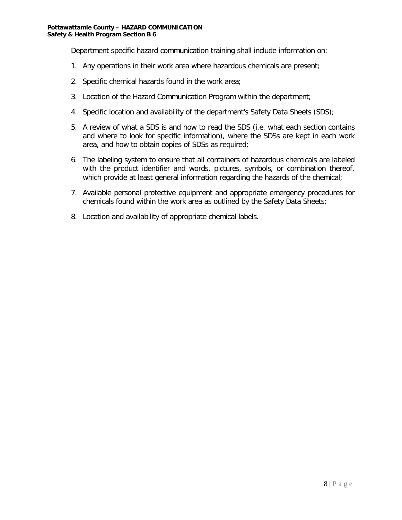Department specific hazard communication training shall include information on:

- 1. Any operations in their work area where hazardous chemicals are present;
- 2. Specific chemical hazards found in the work area;
- 3. Location of the Hazard Communication Program within the department;
- 4. Specific location and availability of the department's Safety Data Sheets (SDS);
- 5. A review of what a SDS is and how to read the SDS (i.e. what each section contains and where to look for specific information), where the SDSs are kept in each work area, and how to obtain copies of SDSs as required;
- 6. The labeling system to ensure that all containers of hazardous chemicals are labeled with the product identifier and words, pictures, symbols, or combination thereof, which provide at least general information regarding the hazards of the chemical;
- 7. Available personal protective equipment and appropriate emergency procedures for chemicals found within the work area as outlined by the Safety Data Sheets;
- 8. Location and availability of appropriate chemical labels.